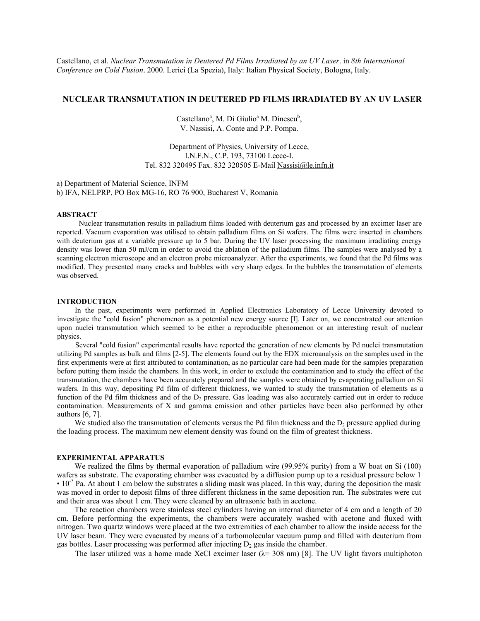Castellano, et al. *Nuclear Transmutation in Deutered Pd Films Irradiated by an UV Laser*. in *8th International Conference on Cold Fusion*. 2000. Lerici (La Spezia), Italy: Italian Physical Society, Bologna, Italy.

# **NUCLEAR TRANSMUTATION IN DEUTERED PD FILMS IRRADIATED BY AN UV LASER**

Castellano<sup>a</sup>, M. Di Giulio<sup>a</sup> M. Dinescu<sup>b</sup>, V. Nassisi, A. Conte and P.P. Pompa.

Department of Physics, University of Lecce, I.N.F.N., C.P. 193, 73100 Lecce-I. Tel. 832 320495 Fax. 832 320505 E-Mail Nassisi@le.infn.it

a) Department of Material Science, INFM b) IFA, NELPRP, PO Box MG-16, RO 76 900, Bucharest V, Romania

#### **ABSTRACT**

Nuclear transmutation results in palladium films loaded with deuterium gas and processed by an excimer laser are reported. Vacuum evaporation was utilised to obtain palladium films on Si wafers. The films were inserted in chambers with deuterium gas at a variable pressure up to 5 bar. During the UV laser processing the maximum irradiating energy density was lower than 50 mJ/cm in order to avoid the ablation of the palladium films. The samples were analysed by a scanning electron microscope and an electron probe microanalyzer. After the experiments, we found that the Pd films was modified. They presented many cracks and bubbles with very sharp edges. In the bubbles the transmutation of elements was observed.

## **INTRODUCTION**

In the past, experiments were performed in Applied Electronics Laboratory of Lecce University devoted to investigate the "cold fusion" phenomenon as a potential new energy source [l]. Later on, we concentrated our attention upon nuclei transmutation which seemed to be either a reproducible phenomenon or an interesting result of nuclear physics.

Several "cold fusion" experimental results have reported the generation of new elements by Pd nuclei transmutation utilizing Pd samples as bulk and films [2-5]. The elements found out by the EDX microanalysis on the samples used in the first experiments were at first attributed to contamination, as no particular care had been made for the samples preparation before putting them inside the chambers. In this work, in order to exclude the contamination and to study the effect of the transmutation, the chambers have been accurately prepared and the samples were obtained by evaporating palladium on Si wafers. In this way, depositing Pd film of different thickness, we wanted to study the transmutation of elements as a function of the Pd film thickness and of the  $D_2$  pressure. Gas loading was also accurately carried out in order to reduce contamination. Measurements of X and gamma emission and other particles have been also performed by other authors [6, 7].

We studied also the transmutation of elements versus the Pd film thickness and the  $D_2$  pressure applied during the loading process. The maximum new element density was found on the film of greatest thickness.

### **EXPERIMENTAL APPARATUS**

We realized the films by thermal evaporation of palladium wire (99.95% purity) from a W boat on Si (100) wafers as substrate. The evaporating chamber was evacuated by a diffusion pump up to a residual pressure below 1  $\cdot$  10<sup>-5</sup> Pa. At about 1 cm below the substrates a sliding mask was placed. In this way, during the deposition the mask was moved in order to deposit films of three different thickness in the same deposition run. The substrates were cut and their area was about 1 cm. They were cleaned by an ultrasonic bath in acetone.

The reaction chambers were stainless steel cylinders having an internal diameter of 4 cm and a length of 20 cm. Before performing the experiments, the chambers were accurately washed with acetone and fluxed with nitrogen. Two quartz windows were placed at the two extremities of each chamber to allow the inside access for the UV laser beam. They were evacuated by means of a turbomolecular vacuum pump and filled with deuterium from gas bottles. Laser processing was performed after injecting  $D_2$  gas inside the chamber.

The laser utilized was a home made XeCl excimer laser  $(\lambda = 308 \text{ nm})$  [8]. The UV light favors multiphoton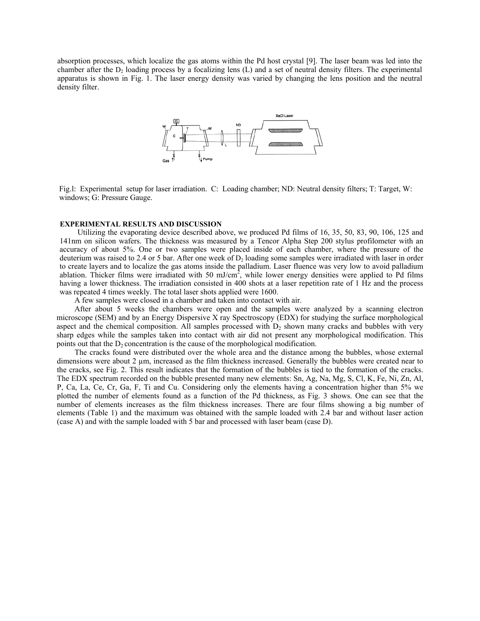absorption processes, which localize the gas atoms within the Pd host crystal [9]. The laser beam was led into the chamber after the  $D_2$  loading process by a focalizing lens (L) and a set of neutral density filters. The experimental apparatus is shown in Fig. 1. The laser energy density was varied by changing the lens position and the neutral density filter.



Fig.l: Experimental setup for laser irradiation. C: Loading chamber; ND: Neutral density filters; T: Target, W: windows; G: Pressure Gauge.

### **EXPERIMENTAL RESULTS AND DISCUSSION**

Utilizing the evaporating device described above, we produced Pd films of 16, 35, 50, 83, 90, 106, 125 and 141nm on silicon wafers. The thickness was measured by a Tencor Alpha Step 200 stylus profilometer with an accuracy of about 5%. One or two samples were placed inside of each chamber, where the pressure of the deuterium was raised to 2.4 or 5 bar. After one week of  $D_2$  loading some samples were irradiated with laser in order to create layers and to localize the gas atoms inside the palladium. Laser fluence was very low to avoid palladium ablation. Thicker films were irradiated with 50 mJ/cm<sup>2</sup>, while lower energy densities were applied to Pd films having a lower thickness. The irradiation consisted in 400 shots at a laser repetition rate of 1 Hz and the process was repeated 4 times weekly. The total laser shots applied were 1600.

A few samples were closed in a chamber and taken into contact with air.

After about 5 weeks the chambers were open and the samples were analyzed by a scanning electron microscope (SEM) and by an Energy Dispersive X ray Spectroscopy (EDX) for studying the surface morphological aspect and the chemical composition. All samples processed with  $D<sub>2</sub>$  shown many cracks and bubbles with very sharp edges while the samples taken into contact with air did not present any morphological modification. This points out that the  $D_2$  concentration is the cause of the morphological modification.

The cracks found were distributed over the whole area and the distance among the bubbles, whose external dimensions were about 2  $\mu$ m, increased as the film thickness increased. Generally the bubbles were created near to the cracks, see Fig. 2. This result indicates that the formation of the bubbles is tied to the formation of the cracks. The EDX spectrum recorded on the bubble presented many new elements: Sn, Ag, Na, Mg, S, Cl, K, Fe, Ni, Zn, Al, P, Ca, La, Ce, Cr, Ga, F, Ti and Cu. Considering only the elements having a concentration higher than 5% we plotted the number of elements found as a function of the Pd thickness, as Fig. 3 shows. One can see that the number of elements increases as the film thickness increases. There are four films showing a big number of elements (Table 1) and the maximum was obtained with the sample loaded with 2.4 bar and without laser action (case A) and with the sample loaded with 5 bar and processed with laser beam (case D).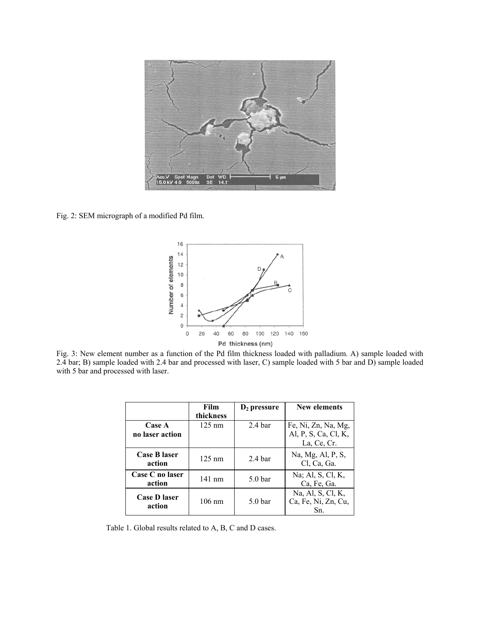

Fig. 2: SEM micrograph of a modified Pd film.



Fig. 3: New element number as a function of the Pd film thickness loaded with palladium. A) sample loaded with 2.4 bar; B) sample loaded with 2.4 bar and processed with laser, C) sample loaded with 5 bar and D) sample loaded with 5 bar and processed with laser.

|                           | Film             | $D_2$ pressure     | New elements                                    |
|---------------------------|------------------|--------------------|-------------------------------------------------|
|                           | thickness        |                    |                                                 |
| <b>Case A</b>             | $125 \text{ nm}$ | $2.4 \text{ bar}$  | Fe, Ni, Zn, Na, Mg,                             |
| no laser action           |                  |                    | Al, P, S, Ca, Cl, K,                            |
|                           |                  |                    | La, Ce, Cr.                                     |
| Case B laser<br>action    | $125 \text{ nm}$ | 2.4 <sub>bar</sub> | Na, Mg, Al, P, S,<br>Cl, Ca, Ga.                |
| Case C no laser<br>action | $141 \text{ nm}$ | 5.0 <sub>bar</sub> | Na; Al, S, Cl, K,<br>Ca, Fe, Ga.                |
| Case D laser<br>action    | $106 \text{ nm}$ | 5.0 <sub>bar</sub> | Na, Al, S, Cl, K,<br>Ca, Fe, Ni, Zn, Cu,<br>Sn. |

Table 1. Global results related to A, B, C and D cases.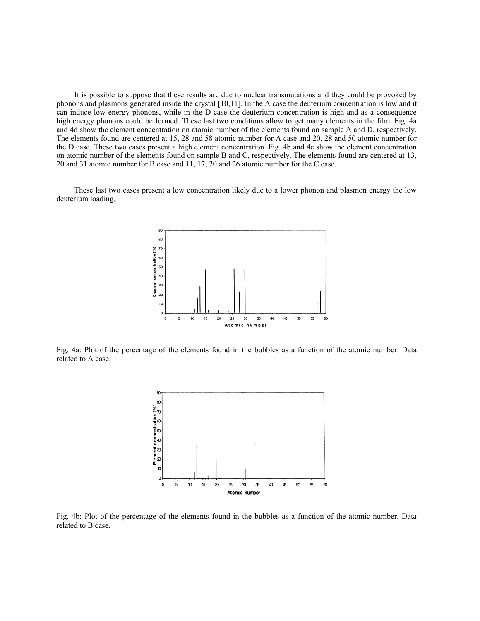It is possible to suppose that these results are due to nuclear transmutations and they could be provoked by phonons and plasmons generated inside the crystal [10,11]. In the A case the deuterium concentration is low and it can induce low energy phonons, while in the D case the deuterium concentration is high and as a consequence high energy phonons could be formed. These last two conditions allow to get many elements in the film. Fig. 4a and 4d show the element concentration on atomic number of the elements found on sample A and D, respectively. The elements found are centered at 15, 28 and 58 atomic number for A case and 20, 28 and 50 atomic number for the D case. These two cases present a high element concentration. Fig. 4b and 4c show the element concentration on atomic number of the elements found on sample B and C, respectively. The elements found are centered at 13, 20 and 31 atomic number for B case and 11, 17, 20 and 26 atomic number for the C case.

These last two cases present a low concentration likely due to a lower phonon and plasmon energy the low deuterium loading.



Fig. 4a: Plot of the percentage of the elements found in the bubbles as a function of the atomic number. Data related to A case.



Fig. 4b: Plot of the percentage of the elements found in the bubbles as a function of the atomic number. Data related to B case.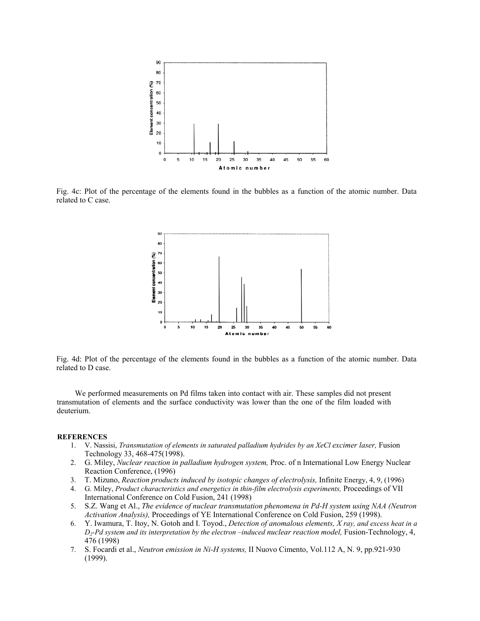

Fig. 4c: Plot of the percentage of the elements found in the bubbles as a function of the atomic number. Data related to C case.



Fig. 4d: Plot of the percentage of the elements found in the bubbles as a function of the atomic number. Data related to D case.

We performed measurements on Pd films taken into contact with air. These samples did not present transmutation of elements and the surface conductivity was lower than the one of the film loaded with deuterium.

### **REFERENCES**

- 1. V. Nassisi, *Transmutation of elements in saturated palladium hydrides by an XeCl excimer laser*, Fusion Technology 33, 468-475(1998).
- 2. G. Miley, *Nuclear reaction in palladium hydrogen system,* Proc. of n International Low Energy Nuclear Reaction Conference, (1996)
- 3. T. Mizuno, *Reaction products induced by isotopic changes of electrolysis,* Infinite Energy, 4, 9, (1996)
- 4. G. Miley, *Product characteristics and energetics in thin-film electrolysis experiments,* Proceedings of VII International Conference on Cold Fusion, 241 (1998)
- 5. S.Z. Wang et Al., *The evidence of nuclear transmutation phenomena in Pd-H system using NAA (Neutron Activation Analysis),* Proceedings of YE International Conference on Cold Fusion, 259 (1998).
- 6. Y. Iwamura, T. Itoy, N. Gotoh and I. Toyod., *Detection of anomalous elements, X ray, and excess heat in a D2-Pd system and its interpretation by the electron –induced nuclear reaction model,* Fusion-Technology, 4, 476 (1998)
- 7. S. Focardi et al., *Neutron emission in Ni-H systems,* II Nuovo Cimento, Vol.112 A, N. 9, pp.921-930 (1999).